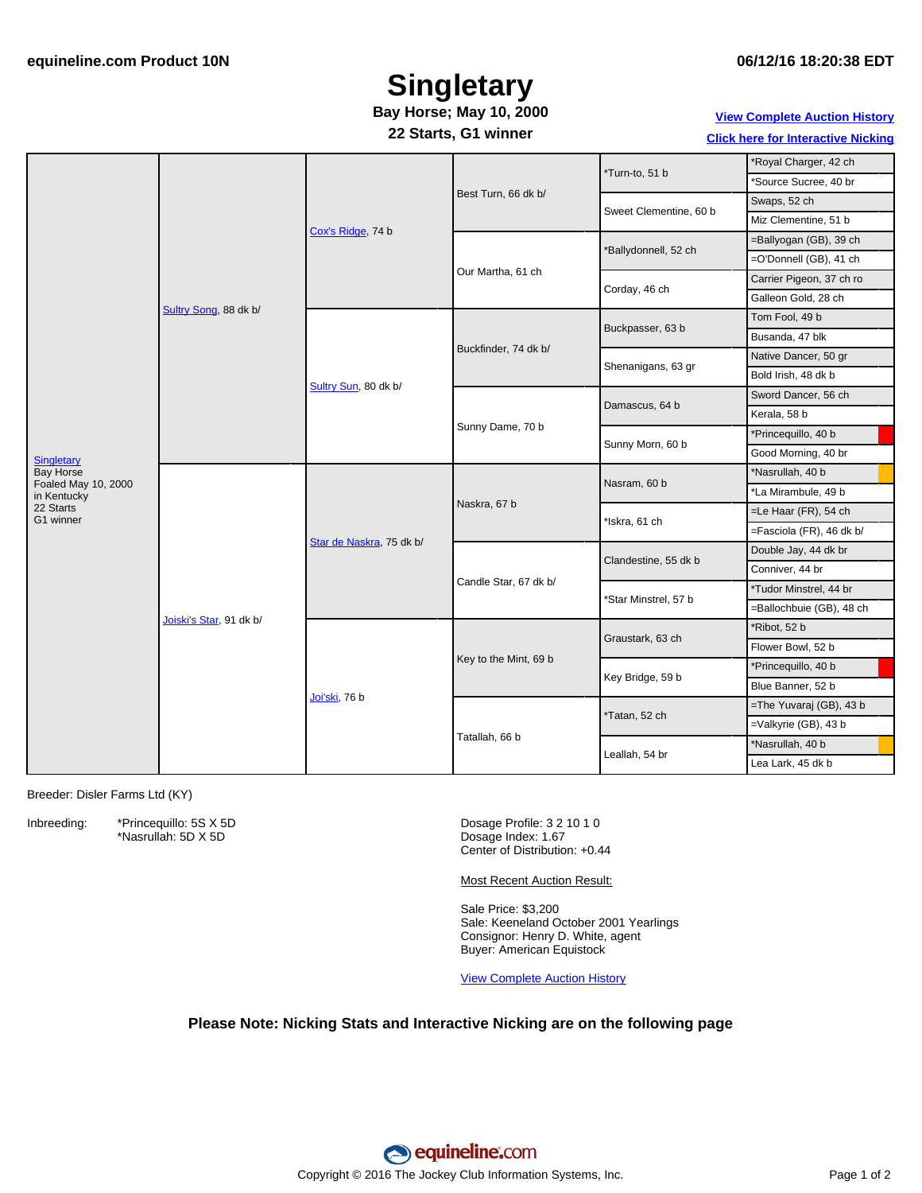## **Singletary**

### **Bay Horse; May 10, 2000**

**22 Starts, G1 winner**

**View [Complete](http://www.equineline.com/Free-Auction-Results.cfm?upsellReferenceNumber=&upsellHorseName=&upsellBreedType=&upsellHorseType=&upsellYOB=&lookupAuctionResults=true&tempHorseType=&tempSale=ALL&tempYear=ALL&search_type=HORSE&reference_number=5397412&horse_name=Fateful&horse_type=ALL&year=ALL&sale=ALL&consignor_id=&consignor_name=&buyer_id=&buyer_name=&price_range_low=&price_range_high=&availableConsignors=&availableBuyers=&fromFree5CrossPedigree=Y) Auction History**

**Click here for [Interactive](#page-1-0) Nicking**

|                                                               | Sultry Song, 88 dk b/   | Cox's Ridge, 74 b        | Best Turn, 66 dk b/   | *Turn-to, 51 b         | *Royal Charger, 42 ch    |
|---------------------------------------------------------------|-------------------------|--------------------------|-----------------------|------------------------|--------------------------|
|                                                               |                         |                          |                       |                        | *Source Sucree, 40 br    |
|                                                               |                         |                          |                       | Sweet Clementine, 60 b | Swaps, 52 ch             |
|                                                               |                         |                          |                       |                        | Miz Clementine, 51 b     |
|                                                               |                         |                          | Our Martha, 61 ch     | *Ballydonnell, 52 ch   | =Ballyogan (GB), 39 ch   |
|                                                               |                         |                          |                       |                        | =O'Donnell (GB), 41 ch   |
|                                                               |                         |                          |                       | Corday, 46 ch          | Carrier Pigeon, 37 ch ro |
|                                                               |                         |                          |                       |                        | Galleon Gold, 28 ch      |
| Singletary<br>Bay Horse<br>Foaled May 10, 2000<br>in Kentucky |                         | Sultry Sun, 80 dk b/     | Buckfinder, 74 dk b/  | Buckpasser, 63 b       | Tom Fool, 49 b           |
|                                                               |                         |                          |                       |                        | Busanda, 47 blk          |
|                                                               |                         |                          |                       | Shenanigans, 63 gr     | Native Dancer, 50 gr     |
|                                                               |                         |                          |                       |                        | Bold Irish, 48 dk b      |
|                                                               |                         |                          | Sunny Dame, 70 b      | Damascus, 64 b         | Sword Dancer, 56 ch      |
|                                                               |                         |                          |                       |                        | Kerala, 58 b             |
|                                                               |                         |                          |                       | Sunny Morn, 60 b       | *Princequillo, 40 b      |
|                                                               |                         |                          |                       |                        | Good Morning, 40 br      |
|                                                               | Joiski's Star, 91 dk b/ | Star de Naskra, 75 dk b/ | Naskra, 67 b          | Nasram, 60 b           | *Nasrullah, 40 b         |
|                                                               |                         |                          |                       |                        | *La Mirambule, 49 b      |
| 22 Starts<br>G1 winner                                        |                         |                          |                       | *Iskra, 61 ch          | =Le Haar (FR), 54 ch     |
|                                                               |                         |                          |                       |                        | =Fasciola (FR), 46 dk b/ |
|                                                               |                         |                          | Candle Star, 67 dk b/ | Clandestine, 55 dk b   | Double Jay, 44 dk br     |
|                                                               |                         |                          |                       |                        | Conniver, 44 br          |
|                                                               |                         |                          |                       | *Star Minstrel, 57 b   | *Tudor Minstrel, 44 br   |
|                                                               |                         |                          |                       |                        | =Ballochbuie (GB), 48 ch |
|                                                               |                         | Joi'ski, 76 b            | Key to the Mint, 69 b | Graustark, 63 ch       | *Ribot, 52 b             |
|                                                               |                         |                          |                       |                        | Flower Bowl, 52 b        |
|                                                               |                         |                          |                       | Key Bridge, 59 b       | *Princequillo, 40 b      |
|                                                               |                         |                          |                       |                        | Blue Banner, 52 b        |
|                                                               |                         |                          | Tatallah, 66 b        | *Tatan, 52 ch          | =The Yuvaraj (GB), 43 b  |
|                                                               |                         |                          |                       |                        | =Valkyrie (GB), 43 b     |
|                                                               |                         |                          |                       | Leallah, 54 br         | *Nasrullah, 40 b         |
|                                                               |                         |                          |                       |                        | Lea Lark, 45 dk b        |
|                                                               |                         |                          |                       |                        |                          |

Breeder: Disler Farms Ltd (KY)

Inbreeding: \*Princequillo: 5S X 5D \*Nasrullah: 5D X 5D

Dosage Profile: 3 2 10 1 0 Dosage Index: 1.67 Center of Distribution: +0.44

Most Recent Auction Result:

Sale Price: \$3,200 Sale: Keeneland October 2001 Yearlings Consignor: Henry D. White, agent Buyer: American Equistock

View [Complete](http://www.equineline.com/Free-Auction-Results.cfm?upsellReferenceNumber=&upsellHorseName=&upsellBreedType=&upsellHorseType=&upsellYOB=&lookupAuctionResults=true&tempHorseType=&tempSale=ALL&tempYear=ALL&search_type=HORSE&reference_number=5397412&horse_name=Fateful&horse_type=ALL&year=ALL&sale=ALL&consignor_id=&consignor_name=&buyer_id=&buyer_name=&price_range_low=&price_range_high=&availableConsignors=&availableBuyers=&fromFree5CrossPedigree=Y) Auction History

#### **Please Note: Nicking Stats and Interactive Nicking are on the following page**